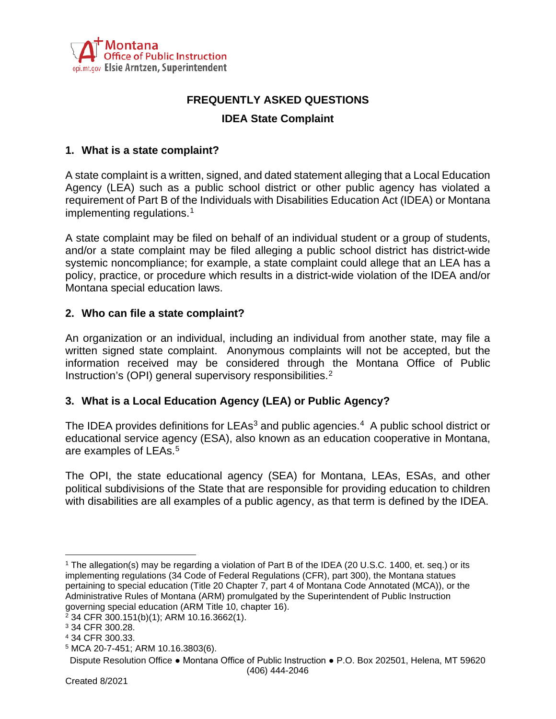

# **FREQUENTLY ASKED QUESTIONS**

# **IDEA State Complaint**

#### **1. What is a state complaint?**

A state complaint is a written, signed, and dated statement alleging that a Local Education Agency (LEA) such as a public school district or other public agency has violated a requirement of Part B of the Individuals with Disabilities Education Act (IDEA) or Montana implementing regulations. [1](#page-0-0)

A state complaint may be filed on behalf of an individual student or a group of students, and/or a state complaint may be filed alleging a public school district has district-wide systemic noncompliance; for example, a state complaint could allege that an LEA has a policy, practice, or procedure which results in a district-wide violation of the IDEA and/or Montana special education laws.

#### **2. Who can file a state complaint?**

An organization or an individual, including an individual from another state, may file a written signed state complaint. Anonymous complaints will not be accepted, but the information received may be considered through the Montana Office of Public Instruction's (OPI) general supervisory responsibilities.<sup>[2](#page-0-1)</sup>

### **3. What is a Local Education Agency (LEA) or Public Agency?**

The IDEA provides definitions for LEAs<sup>3</sup> and public agencies.<sup>[4](#page-0-3)</sup> A public school district or educational service agency (ESA), also known as an education cooperative in Montana, are examples of LEAs.<sup>[5](#page-0-4)</sup>

The OPI, the state educational agency (SEA) for Montana, LEAs, ESAs, and other political subdivisions of the State that are responsible for providing education to children with disabilities are all examples of a public agency, as that term is defined by the IDEA.

<span id="page-0-0"></span><sup>1</sup> The allegation(s) may be regarding a violation of Part B of the IDEA (20 U.S.C. 1400, et. seq.) or its implementing regulations (34 Code of Federal Regulations (CFR), part 300), the Montana statues pertaining to special education (Title 20 Chapter 7, part 4 of Montana Code Annotated (MCA)), or the Administrative Rules of Montana (ARM) promulgated by the Superintendent of Public Instruction governing special education (ARM Title 10, chapter 16).

<span id="page-0-1"></span><sup>2</sup> 34 CFR 300.151(b)(1); ARM 10.16.3662(1).

<span id="page-0-2"></span><sup>3</sup> 34 CFR 300.28.

<span id="page-0-3"></span><sup>4</sup> 34 CFR 300.33.

<span id="page-0-4"></span><sup>5</sup> MCA 20-7-451; ARM 10.16.3803(6).

Dispute Resolution Office ● Montana Office of Public Instruction ● P.O. Box 202501, Helena, MT 59620 (406) 444-2046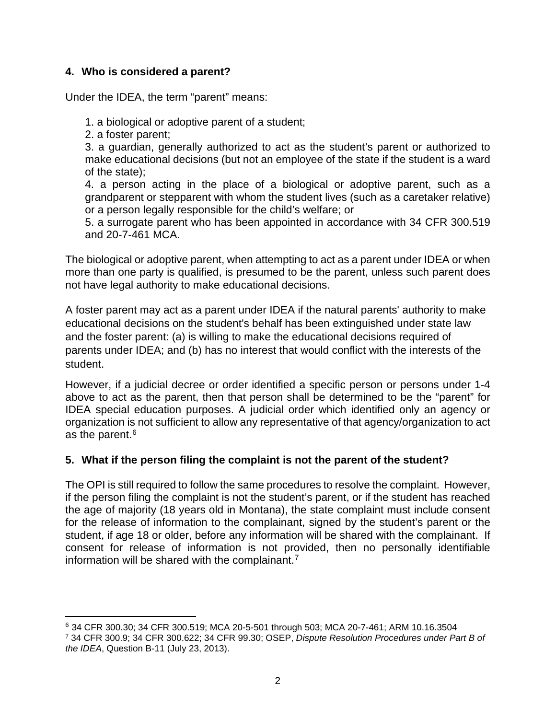# **4. Who is considered a parent?**

Under the IDEA, the term "parent" means:

1. a biological or adoptive parent of a student;

2. a foster parent;

3. a guardian, generally authorized to act as the student's parent or authorized to make educational decisions (but not an employee of the state if the student is a ward of the state);

4. a person acting in the place of a biological or adoptive parent, such as a grandparent or stepparent with whom the student lives (such as a caretaker relative) or a person legally responsible for the child's welfare; or

5. a surrogate parent who has been appointed in accordance with 34 CFR 300.519 and 20-7-461 MCA.

The biological or adoptive parent, when attempting to act as a parent under IDEA or when more than one party is qualified, is presumed to be the parent, unless such parent does not have legal authority to make educational decisions.

A foster parent may act as a parent under IDEA if the natural parents' authority to make educational decisions on the student's behalf has been extinguished under state law and the foster parent: (a) is willing to make the educational decisions required of parents under IDEA; and (b) has no interest that would conflict with the interests of the student.

However, if a judicial decree or order identified a specific person or persons under 1-4 above to act as the parent, then that person shall be determined to be the "parent" for IDEA special education purposes. A judicial order which identified only an agency or organization is not sufficient to allow any representative of that agency/organization to act as the parent.[6](#page-1-0)

# **5. What if the person filing the complaint is not the parent of the student?**

The OPI is still required to follow the same procedures to resolve the complaint. However, if the person filing the complaint is not the student's parent, or if the student has reached the age of majority (18 years old in Montana), the state complaint must include consent for the release of information to the complainant, signed by the student's parent or the student, if age 18 or older, before any information will be shared with the complainant. If consent for release of information is not provided, then no personally identifiable information will be shared with the complainant. [7](#page-1-1)

<span id="page-1-0"></span><sup>&</sup>lt;sup>6</sup> 34 CFR 300.30; 34 CFR 300.519; MCA 20-5-501 through 503; MCA 20-7-461; ARM 10.16.3504<br><sup>7</sup> 34 CFR 300.9; 34 CFR 300.622; 34 CFR 99.30; OSEP, *Dispute Resolution Procedures under Part B of* 

<span id="page-1-1"></span>*the IDEA*, Question B-11 (July 23, 2013).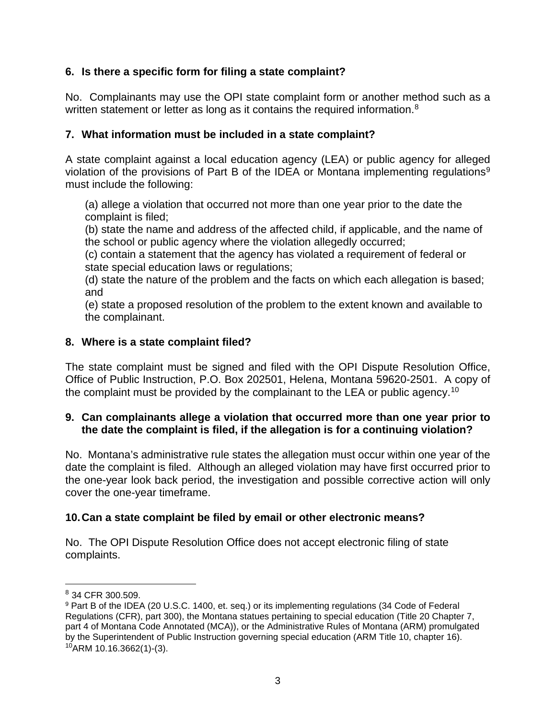# **6. Is there a specific form for filing a state complaint?**

No. Complainants may use the OPI state complaint form or another method such as a written statement or letter as long as it contains the required information.<sup>[8](#page-2-0)</sup>

# **7. What information must be included in a state complaint?**

A state complaint against a local education agency (LEA) or public agency for alleged violation of the provisions of Part B of the IDEA or Montana implementing regulations<sup>[9](#page-2-1)</sup> must include the following:

(a) allege a violation that occurred not more than one year prior to the date the complaint is filed;

(b) state the name and address of the affected child, if applicable, and the name of the school or public agency where the violation allegedly occurred;

(c) contain a statement that the agency has violated a requirement of federal or state special education laws or regulations;

(d) state the nature of the problem and the facts on which each allegation is based; and

(e) state a proposed resolution of the problem to the extent known and available to the complainant.

# **8. Where is a state complaint filed?**

The state complaint must be signed and filed with the OPI Dispute Resolution Office, Office of Public Instruction, P.O. Box 202501, Helena, Montana 59620-2501. A copy of the complaint must be provided by the complainant to the LEA or public agency.[10](#page-2-2)

# **9. Can complainants allege a violation that occurred more than one year prior to the date the complaint is filed, if the allegation is for a continuing violation?**

No. Montana's administrative rule states the allegation must occur within one year of the date the complaint is filed. Although an alleged violation may have first occurred prior to the one-year look back period, the investigation and possible corrective action will only cover the one-year timeframe.

# **10.Can a state complaint be filed by email or other electronic means?**

No. The OPI Dispute Resolution Office does not accept electronic filing of state complaints.

<span id="page-2-0"></span><sup>8</sup> 34 CFR 300.509.

<span id="page-2-2"></span><span id="page-2-1"></span><sup>9</sup> Part B of the IDEA (20 U.S.C. 1400, et. seq.) or its implementing regulations (34 Code of Federal Regulations (CFR), part 300), the Montana statues pertaining to special education (Title 20 Chapter 7, part 4 of Montana Code Annotated (MCA)), or the Administrative Rules of Montana (ARM) promulgated by the Superintendent of Public Instruction governing special education (ARM Title 10, chapter 16).  $10$ ARM 10.16.3662(1)-(3).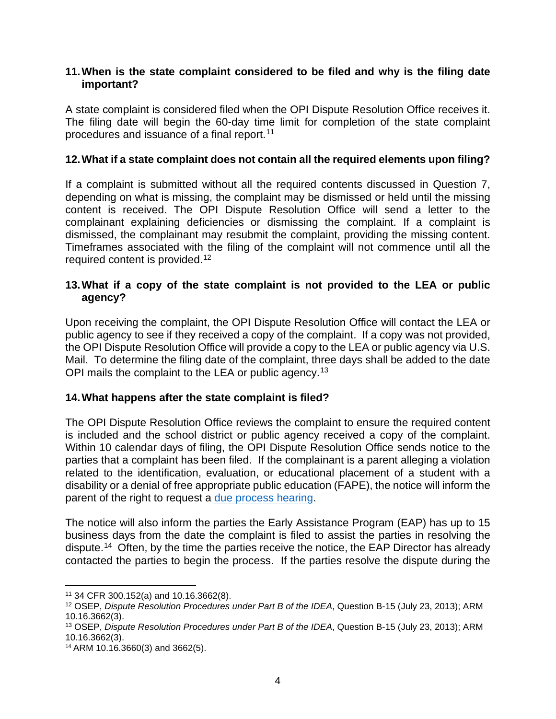#### **11.When is the state complaint considered to be filed and why is the filing date important?**

A state complaint is considered filed when the OPI Dispute Resolution Office receives it. The filing date will begin the 60-day time limit for completion of the state complaint procedures and issuance of a final report.[11](#page-3-0)

## **12.What if a state complaint does not contain all the required elements upon filing?**

If a complaint is submitted without all the required contents discussed in Question 7, depending on what is missing, the complaint may be dismissed or held until the missing content is received. The OPI Dispute Resolution Office will send a letter to the complainant explaining deficiencies or dismissing the complaint. If a complaint is dismissed, the complainant may resubmit the complaint, providing the missing content. Timeframes associated with the filing of the complaint will not commence until all the required content is provided.[12](#page-3-1) 

## **13.What if a copy of the state complaint is not provided to the LEA or public agency?**

Upon receiving the complaint, the OPI Dispute Resolution Office will contact the LEA or public agency to see if they received a copy of the complaint. If a copy was not provided, the OPI Dispute Resolution Office will provide a copy to the LEA or public agency via U.S. Mail. To determine the filing date of the complaint, three days shall be added to the date OPI mails the complaint to the LEA or public agency.<sup>[13](#page-3-2)</sup>

### **14.What happens after the state complaint is filed?**

The OPI Dispute Resolution Office reviews the complaint to ensure the required content is included and the school district or public agency received a copy of the complaint. Within 10 calendar days of filing, the OPI Dispute Resolution Office sends notice to the parties that a complaint has been filed. If the complainant is a parent alleging a violation related to the identification, evaluation, or educational placement of a student with a disability or a denial of free appropriate public education (FAPE), the notice will inform the parent of the right to request a [due process hearing.](http://opi.mt.gov/Educators/School-Climate-Student-Wellness/Special-Education/Dispute-Resolution/Due-Process-Hearing)

The notice will also inform the parties the Early Assistance Program (EAP) has up to 15 business days from the date the complaint is filed to assist the parties in resolving the dispute.<sup>[14](#page-3-3)</sup> Often, by the time the parties receive the notice, the EAP Director has already contacted the parties to begin the process. If the parties resolve the dispute during the

<span id="page-3-0"></span><sup>11</sup> 34 CFR 300.152(a) and 10.16.3662(8).

<span id="page-3-1"></span><sup>12</sup> OSEP, *Dispute Resolution Procedures under Part B of the IDEA*, Question B-15 (July 23, 2013); ARM 10.16.3662(3).

<span id="page-3-2"></span><sup>13</sup> OSEP, *Dispute Resolution Procedures under Part B of the IDEA*, Question B-15 (July 23, 2013); ARM 10.16.3662(3).

<span id="page-3-3"></span><sup>14</sup> ARM 10.16.3660(3) and 3662(5).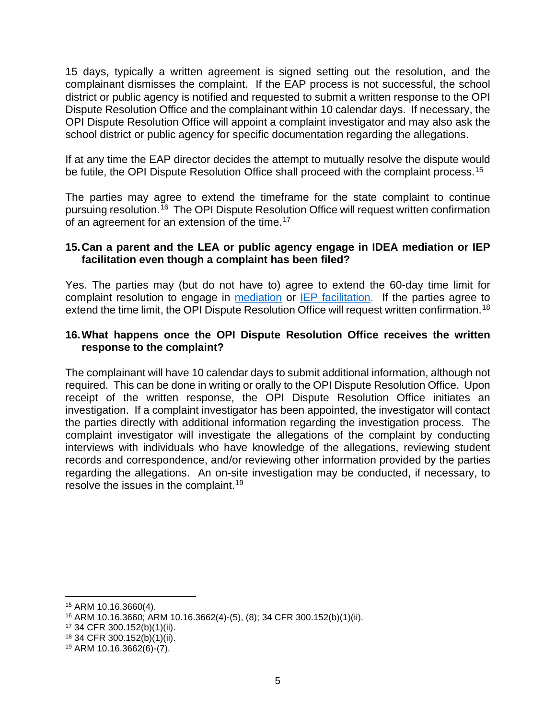15 days, typically a written agreement is signed setting out the resolution, and the complainant dismisses the complaint. If the EAP process is not successful, the school district or public agency is notified and requested to submit a written response to the OPI Dispute Resolution Office and the complainant within 10 calendar days. If necessary, the OPI Dispute Resolution Office will appoint a complaint investigator and may also ask the school district or public agency for specific documentation regarding the allegations.

If at any time the EAP director decides the attempt to mutually resolve the dispute would be futile, the OPI Dispute Resolution Office shall proceed with the complaint process.<sup>15</sup>

The parties may agree to extend the timeframe for the state complaint to continue pursuing resolution.[16](#page-4-1) The OPI Dispute Resolution Office will request written confirmation of an agreement for an extension of the time.<sup>[17](#page-4-2)</sup>

### **15.Can a parent and the LEA or public agency engage in IDEA mediation or IEP facilitation even though a complaint has been filed?**

Yes. The parties may (but do not have to) agree to extend the 60-day time limit for complaint resolution to engage in **mediation** or **IEP** facilitation. If the parties agree to extend the time limit, the OPI Dispute Resolution Office will request written confirmation.<sup>[18](#page-4-3)</sup>

## **16.What happens once the OPI Dispute Resolution Office receives the written response to the complaint?**

The complainant will have 10 calendar days to submit additional information, although not required. This can be done in writing or orally to the OPI Dispute Resolution Office. Upon receipt of the written response, the OPI Dispute Resolution Office initiates an investigation. If a complaint investigator has been appointed, the investigator will contact the parties directly with additional information regarding the investigation process. The complaint investigator will investigate the allegations of the complaint by conducting interviews with individuals who have knowledge of the allegations, reviewing student records and correspondence, and/or reviewing other information provided by the parties regarding the allegations. An on-site investigation may be conducted, if necessary, to resolve the issues in the complaint.[19](#page-4-4)

<span id="page-4-0"></span><sup>15</sup> ARM 10.16.3660(4).

<span id="page-4-1"></span><sup>16</sup> ARM 10.16.3660; ARM 10.16.3662(4)-(5), (8); 34 CFR 300.152(b)(1)(ii).

<span id="page-4-2"></span><sup>17</sup> 34 CFR 300.152(b)(1)(ii).

<span id="page-4-3"></span><sup>18</sup> 34 CFR 300.152(b)(1)(ii).

<span id="page-4-4"></span><sup>19</sup> ARM 10.16.3662(6)-(7).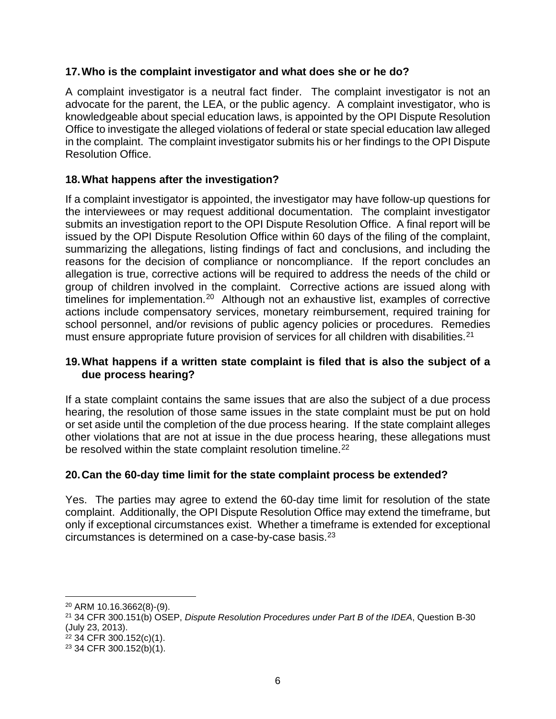# **17.Who is the complaint investigator and what does she or he do?**

A complaint investigator is a neutral fact finder. The complaint investigator is not an advocate for the parent, the LEA, or the public agency. A complaint investigator, who is knowledgeable about special education laws, is appointed by the OPI Dispute Resolution Office to investigate the alleged violations of federal or state special education law alleged in the complaint. The complaint investigator submits his or her findings to the OPI Dispute Resolution Office.

# **18.What happens after the investigation?**

If a complaint investigator is appointed, the investigator may have follow-up questions for the interviewees or may request additional documentation. The complaint investigator submits an investigation report to the OPI Dispute Resolution Office. A final report will be issued by the OPI Dispute Resolution Office within 60 days of the filing of the complaint, summarizing the allegations, listing findings of fact and conclusions, and including the reasons for the decision of compliance or noncompliance. If the report concludes an allegation is true, corrective actions will be required to address the needs of the child or group of children involved in the complaint. Corrective actions are issued along with timelines for implementation.<sup>20</sup> Although not an exhaustive list, examples of corrective actions include compensatory services, monetary reimbursement, required training for school personnel, and/or revisions of public agency policies or procedures. Remedies must ensure appropriate future provision of services for all children with disabilities.<sup>21</sup>

# **19.What happens if a written state complaint is filed that is also the subject of a due process hearing?**

If a state complaint contains the same issues that are also the subject of a due process hearing, the resolution of those same issues in the state complaint must be put on hold or set aside until the completion of the due process hearing. If the state complaint alleges other violations that are not at issue in the due process hearing, these allegations must be resolved within the state complaint resolution timeline.<sup>[22](#page-5-2)</sup>

# **20.Can the 60-day time limit for the state complaint process be extended?**

Yes. The parties may agree to extend the 60-day time limit for resolution of the state complaint. Additionally, the OPI Dispute Resolution Office may extend the timeframe, but only if exceptional circumstances exist. Whether a timeframe is extended for exceptional circumstances is determined on a case-by-case basis.[23](#page-5-3)

<span id="page-5-0"></span><sup>20</sup> ARM 10.16.3662(8)-(9).

<span id="page-5-1"></span><sup>21</sup> 34 CFR 300.151(b) OSEP, *Dispute Resolution Procedures under Part B of the IDEA*, Question B-30 (July 23, 2013).

<span id="page-5-2"></span><sup>22</sup> 34 CFR 300.152(c)(1).

<span id="page-5-3"></span><sup>23</sup> 34 CFR 300.152(b)(1).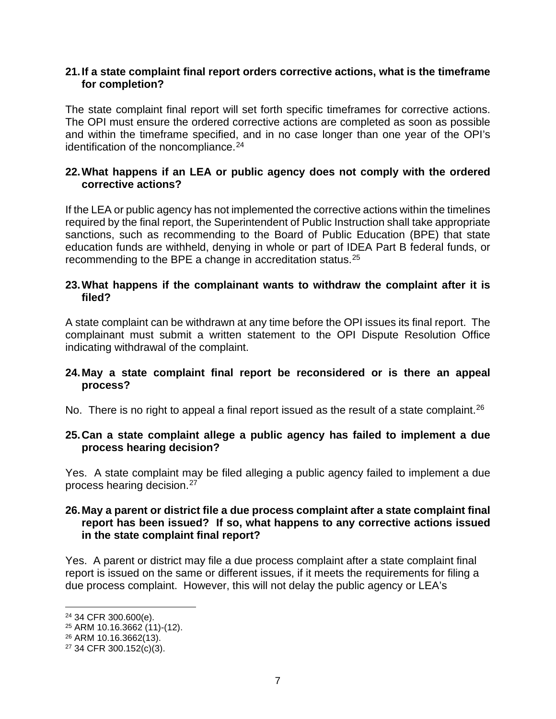### **21.If a state complaint final report orders corrective actions, what is the timeframe for completion?**

The state complaint final report will set forth specific timeframes for corrective actions. The OPI must ensure the ordered corrective actions are completed as soon as possible and within the timeframe specified, and in no case longer than one year of the OPI's identification of the noncompliance.<sup>24</sup>

## **22.What happens if an LEA or public agency does not comply with the ordered corrective actions?**

If the LEA or public agency has not implemented the corrective actions within the timelines required by the final report, the Superintendent of Public Instruction shall take appropriate sanctions, such as recommending to the Board of Public Education (BPE) that state education funds are withheld, denying in whole or part of IDEA Part B federal funds, or recommending to the BPE a change in accreditation status.[25](#page-6-1)

### **23.What happens if the complainant wants to withdraw the complaint after it is filed?**

A state complaint can be withdrawn at any time before the OPI issues its final report. The complainant must submit a written statement to the OPI Dispute Resolution Office indicating withdrawal of the complaint.

### **24.May a state complaint final report be reconsidered or is there an appeal process?**

No. There is no right to appeal a final report issued as the result of a state complaint.<sup>[26](#page-6-2)</sup>

### **25.Can a state complaint allege a public agency has failed to implement a due process hearing decision?**

Yes. A state complaint may be filed alleging a public agency failed to implement a due process hearing decision.[27](#page-6-3)

### **26.May a parent or district file a due process complaint after a state complaint final report has been issued? If so, what happens to any corrective actions issued in the state complaint final report?**

Yes. A parent or district may file a due process complaint after a state complaint final report is issued on the same or different issues, if it meets the requirements for filing a due process complaint. However, this will not delay the public agency or LEA's

<span id="page-6-0"></span><sup>24</sup> 34 CFR 300.600(e).

<span id="page-6-1"></span><sup>25</sup> ARM 10.16.3662 (11)-(12).

<span id="page-6-2"></span><sup>26</sup> ARM 10.16.3662(13).

<span id="page-6-3"></span><sup>27</sup> 34 CFR 300.152(c)(3).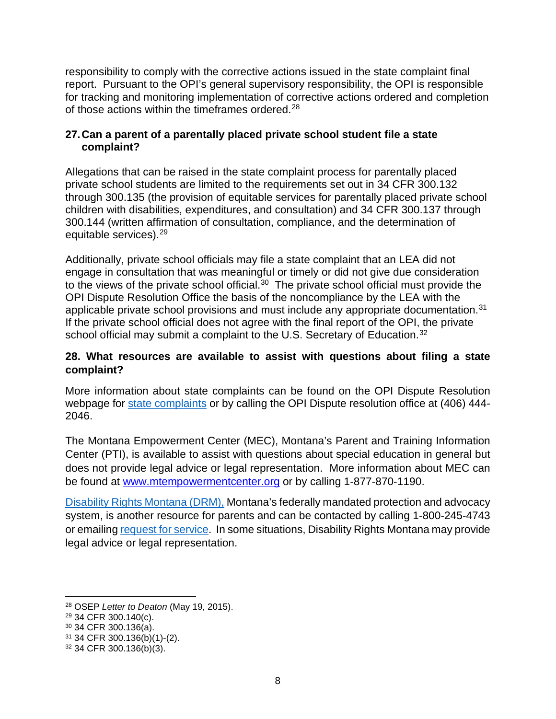responsibility to comply with the corrective actions issued in the state complaint final report. Pursuant to the OPI's general supervisory responsibility, the OPI is responsible for tracking and monitoring implementation of corrective actions ordered and completion of those actions within the timeframes ordered.<sup>[28](#page-7-0)</sup>

## **27.Can a parent of a parentally placed private school student file a state complaint?**

Allegations that can be raised in the state complaint process for parentally placed private school students are limited to the requirements set out in 34 CFR 300.132 through 300.135 (the provision of equitable services for parentally placed private school children with disabilities, expenditures, and consultation) and 34 CFR 300.137 through 300.144 (written affirmation of consultation, compliance, and the determination of equitable services).[29](#page-7-1)

Additionally, private school officials may file a state complaint that an LEA did not engage in consultation that was meaningful or timely or did not give due consideration to the views of the private school official.<sup>[30](#page-7-2)</sup> The private school official must provide the OPI Dispute Resolution Office the basis of the noncompliance by the LEA with the applicable private school provisions and must include any appropriate documentation.<sup>[31](#page-7-3)</sup> If the private school official does not agree with the final report of the OPI, the private school official may submit a complaint to the U.S. Secretary of Education.<sup>[32](#page-7-4)</sup>

# **28. What resources are available to assist with questions about filing a state complaint?**

More information about state complaints can be found on the OPI Dispute Resolution webpage for [state complaints](https://opi.mt.gov/Educators/School-Climate-Student-Wellness/Special-Education/Dispute-Resolution/State-Administrative-Complaint) or by calling the OPI Dispute resolution office at (406) 444-2046.

The Montana Empowerment Center (MEC), Montana's Parent and Training Information Center (PTI), is available to assist with questions about special education in general but does not provide legal advice or legal representation. More information about MEC can be found at [www.mtempowermentcenter.org](http://www.mtempowermentcenter.org/) or by calling 1-877-870-1190.

[Disability Rights Montana \(DRM\),](https://www.disabilityrightsmt.org/education/) Montana's federally mandated protection and advocacy system, is another resource for parents and can be contacted by calling 1-800-245-4743 or emailin[g request for service.](https://www.disabilityrightsmt.org/request-for-service-form/) In some situations, Disability Rights Montana may provide legal advice or legal representation.

<span id="page-7-0"></span><sup>28</sup> OSEP *Letter to Deaton* (May 19, 2015).

<span id="page-7-1"></span><sup>29</sup> 34 CFR 300.140(c).

<span id="page-7-2"></span><sup>30</sup> 34 CFR 300.136(a).

<span id="page-7-3"></span><sup>31</sup> 34 CFR 300.136(b)(1)-(2).

<span id="page-7-4"></span><sup>32</sup> 34 CFR 300.136(b)(3).